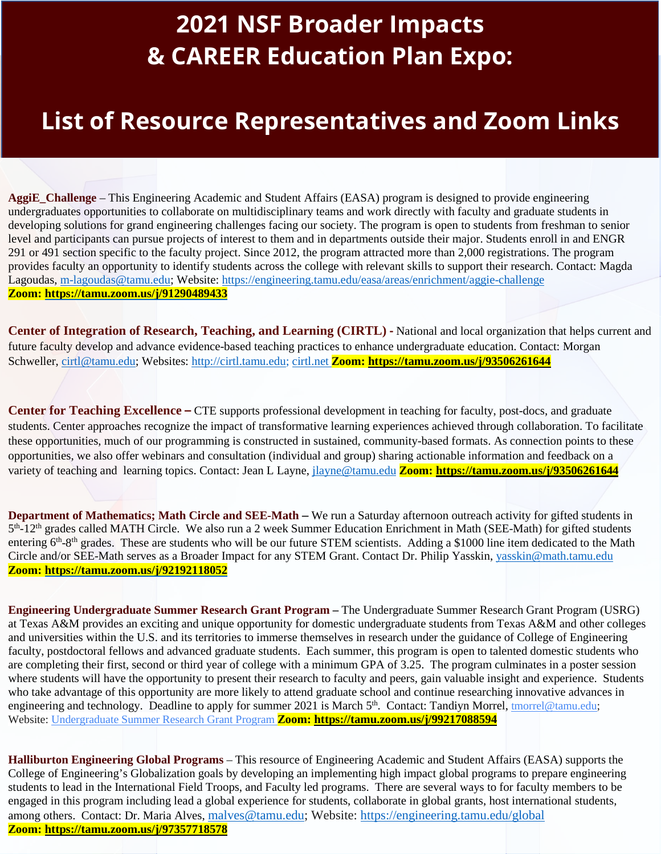## **2021 NSF Broader Impacts & CAREER Education Plan Expo:**

## **List of Resource Representatives and Zoom Links**

291 or 491 section specific to the faculty project. Since 2012, the program attracted more than 2,000 registrations. The program attracted more than 2,000 registrations. The program provided foculty an empertually to ident **AggiE\_Challenge** – This Engineering Academic and Student Affairs (EASA) program is designed to provide engineering undergraduates opportunities to collaborate on multidisciplinary teams and work directly with faculty and graduate students in developing solutions for grand engineering challenges facing our society. The program is open to students from freshman to senior level and participants can pursue projects of interest to them and in departments outside their major. Students enroll in and ENGR provides faculty an opportunity to identify students across the college with relevant skills to support their research. Contact: Magda Lagoudas, [m-lagoudas@tamu.edu;](mailto:m-lagoudas@tamu.edu) Website:<https://engineering.tamu.edu/easa/areas/enrichment/aggie-challenge> **Zoom:<https://tamu.zoom.us/j/91290489433>**

**Center of Integration of Research, Teaching, and Learning (CIRTL) -** National and local organization that helps current and future faculty develop and advance evidence-based teaching practices to enhance undergraduate education. Contact: Morgan Schweller, [cirtl@tamu.edu;](mailto:cirtl@tamu.edu) Websites: [http://cirtl.tamu.edu;](http://cirtl.tamu.edu/) cirtl.net **Zoom:<https://tamu.zoom.us/j/93506261644>**

**Center for Teaching Excellence –** CTE supports professional development in teaching for faculty, post-docs, and graduate students. Center approaches recognize the impact of transformative learning experiences achieved through collaboration. To facilitate these opportunities, much of our programming is constructed in sustained, community-based formats. As connection points to these opportunities, we also offer webinars and consultation (individual and group) sharing actionable information and feedback on a variety of teaching and learning topics. Contact: Jean L Layne, [jlayne@tamu.edu](mailto:jlayne@tamu.edu) **Zoom:<https://tamu.zoom.us/j/93506261644>**

**Department of Mathematics; Math Circle and SEE-Math –** We run a Saturday afternoon outreach activity for gifted students in 5<sup>th</sup>-12<sup>th</sup> grades called MATH Circle. We also run a 2 week Summer Education Enrichment in Math (SEE-Math) for gifted students entering 6<sup>th</sup>-8<sup>th</sup> grades. These are students who will be our future STEM scientists. Adding a \$1000 line item dedicated to the Math Circle and/or SEE-Math serves as a Broader Impact for any STEM Grant. Contact Dr. Philip Yasskin, [yasskin@math.tamu.edu](mailto:yasskin@math.tamu.edu) **Zoom:<https://tamu.zoom.us/j/92192118052>**

**Engineering Undergraduate Summer Research Grant Program –** The Undergraduate Summer Research Grant Program (USRG) at Texas A&M provides an exciting and unique opportunity for domestic undergraduate students from Texas A&M and other colleges and universities within the U.S. and its territories to immerse themselves in research under the guidance of College of Engineering faculty, postdoctoral fellows and advanced graduate students. Each summer, this program is open to talented domestic students who are completing their first, second or third year of college with a minimum GPA of 3.25. The program culminates in a poster session where students will have the opportunity to present their research to faculty and peers, gain valuable insight and experience. Students who take advantage of this opportunity are more likely to attend graduate school and continue researching innovative advances in engineering and technology. Deadline to apply for summer 2021 is March 5<sup>th</sup>. Contact: Tandiyn Morrel, *tmorrel@tamu.edu*; Website: [Undergraduate Summer Research Grant Program](https://engineering.tamu.edu/admissions-and-aid/undergraduate-summer-research-grants/index.html) **Zoom:<https://tamu.zoom.us/j/99217088594>**

**Halliburton Engineering Global Programs** – This resource of Engineering Academic and Student Affairs (EASA) supports the College of Engineering's Globalization goals by developing an implementing high impact global programs to prepare engineering students to lead in the International Field Troops, and Faculty led programs. There are several ways to for faculty members to be engaged in this program including lead a global experience for students, collaborate in global grants, host international students, among others. Contact: Dr. Maria Alves, [malves@tamu.edu;](mailto:malves@tamu.edu) Website: <https://engineering.tamu.edu/global> **Zoom:<https://tamu.zoom.us/j/97357718578>**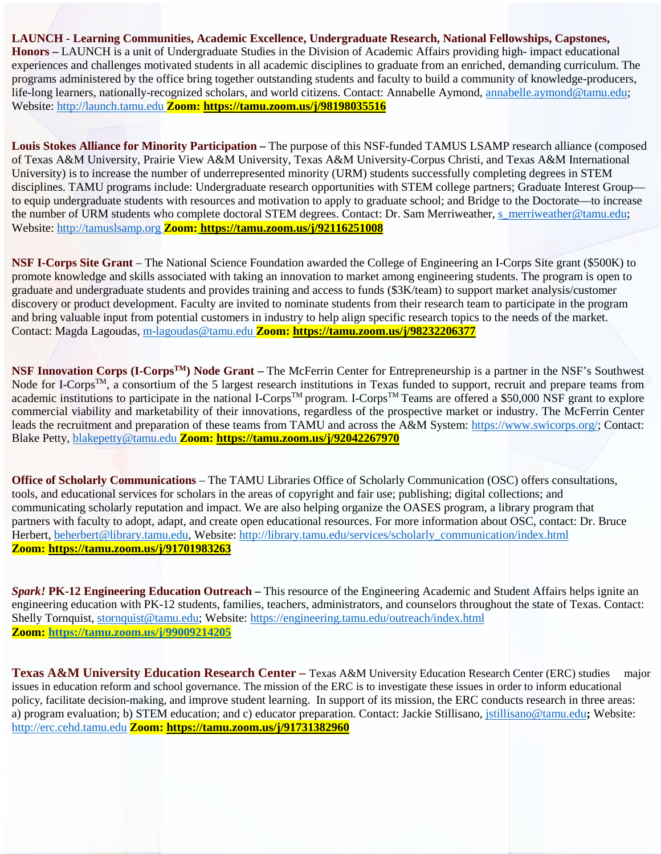## **LAUNCH - Learning Communities, Academic Excellence, Undergraduate Research, National Fellowships, Capstones,**

**Honors –** LAUNCH is a unit of Undergraduate Studies in the Division of Academic Affairs providing high- impact educational experiences and challenges motivated students in all academic disciplines to graduate from an enriched, demanding curriculum. The programs administered by the office bring together outstanding students and faculty to build a community of knowledge-producers, life-long learners, nationally-recognized scholars, and world citizens. Contact: Annabelle Aymond, [annabelle.aymond@tamu.edu;](mailto:annabelle.aymond@tamu.edu) Website[: http://launch.tamu.edu](http://launch.tamu.edu/) **Zoom:<https://tamu.zoom.us/j/98198035516>**

**Louis Stokes Alliance for Minority Participation –** The purpose of this NSF-funded TAMUS LSAMP research alliance (composed of Texas A&M University, Prairie View A&M University, Texas A&M University-Corpus Christi, and Texas A&M International University) is to increase the number of underrepresented minority (URM) students successfully completing degrees in STEM disciplines. TAMU programs include: Undergraduate research opportunities with STEM college partners; Graduate Interest Group to equip undergraduate students with resources and motivation to apply to graduate school; and Bridge to the Doctorate—to increase the number of URM students who complete doctoral STEM degrees. Contact: Dr. Sam Merriweather, [s\\_merriweather@tamu.edu;](mailto:s_merriweather@tamu.edu) Website[: http://tamuslsamp.org](http://tamuslsamp.org/) **Zoom: <https://tamu.zoom.us/j/92116251008>**

**NSF I-Corps Site Grant** – The National Science Foundation awarded the College of Engineering an I-Corps Site grant (\$500K) to promote knowledge and skills associated with taking an innovation to market among engineering students. The program is open to graduate and undergraduate students and provides training and access to funds (\$3K/team) to support market analysis/customer discovery or product development. Faculty are invited to nominate students from their research team to participate in the program and bring valuable input from potential customers in industry to help align specific research topics to the needs of the market. Contact: Magda Lagoudas, [m-lagoudas@tamu.edu](mailto:m-lagoudas@tamu.edu) **Zoom:<https://tamu.zoom.us/j/98232206377>**

**NSF Innovation Corps (I-CorpsTM) Node Grant –** The McFerrin Center for Entrepreneurship is a partner in the NSF's Southwest Node for I-Corps<sup>TM</sup>, a consortium of the 5 largest research institutions in Texas funded to support, recruit and prepare teams from academic institutions to participate in the national I-Corps<sup>TM</sup> program. I-Corps<sup>TM</sup> Teams are offered a \$50,000 NSF grant to explore commercial viability and marketability of their innovations, regardless of the prospective market or industry. The McFerrin Center leads the recruitment and preparation of these teams from TAMU and across the A&M System: [https://www.swicorps.org/;](https://www.swicorps.org/) Contact: Blake Petty, [blakepetty@tamu.edu](mailto:blakepetty@tamu.edu) **Zoom:<https://tamu.zoom.us/j/92042267970>**

**Office of Scholarly Communications** – The TAMU Libraries Office of Scholarly Communication (OSC) offers consultations, tools, and educational services for scholars in the areas of copyright and fair use; publishing; digital collections; and communicating scholarly reputation and impact. We are also helping organize the OASES program, a library program that partners with faculty to adopt, adapt, and create open educational resources. For more information about OSC, contact: Dr. Bruce Herbert, [beherbert@library.tamu.edu, W](mailto:beherbert@library.tamu.edu)ebsite[: http://library.tamu.edu/services/scholarly\\_communication/index.html](http://library.tamu.edu/services/scholarly_communication/index.html) **Zoom:<https://tamu.zoom.us/j/91701983263>**

*Spark!* **PK-12 Engineering Education Outreach –** This resource of the Engineering Academic and Student Affairs helps ignite an engineering education with PK-12 students, families, teachers, administrators, and counselors throughout the state of Texas. Contact: Shelly Tornquist, [stornquist@tamu.edu;](mailto:stornquist@tamu.edu) Website:<https://engineering.tamu.edu/outreach/index.html> **Zoom:<https://tamu.zoom.us/j/99009214205>**

**Texas A&M University Education Research Center –** Texas A&M University Education Research Center (ERC) studies major issues in education reform and school governance. The mission of the ERC is to investigate these issues in order to inform educational policy, facilitate decision-making, and improve student learning. In support of its mission, the ERC conducts research in three areas: a) program evaluation; b) STEM education; and c) educator preparation. Contact: Jackie Stillisano, [jstillisano@tamu.edu](mailto:jstillisano@tamu.edu)**;** Website: [http://erc.cehd.tamu.edu](http://erc.cehd.tamu.edu/) **Zoom:<https://tamu.zoom.us/j/91731382960>**